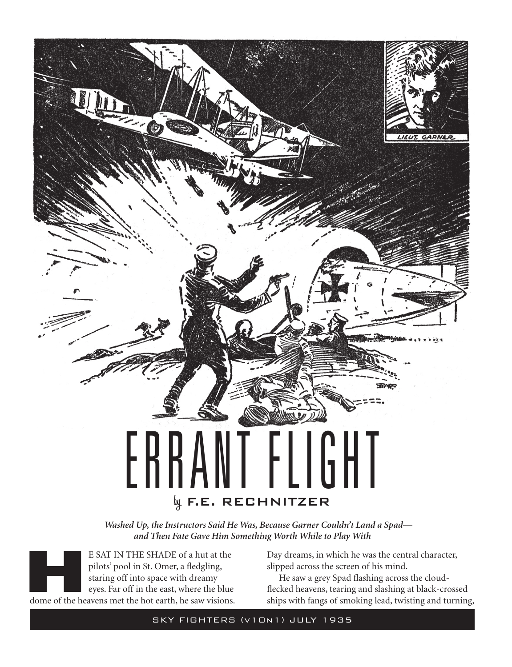

*Washed Up, the Instructors Said He Was, Because Garner Couldn't Land a Spad and Then Fate Gave Him Something Worth While to Play With*

E SAT IN THE SHADE of a hut at the<br>pilots' pool in St. Omer, a fledgling,<br>staring off into space with dreamy<br>dome of the heavens met the hot earth, he saw visions. He saw a grey Spad flashing at black-crossed<br>ships with fa E SAT IN THE SHADE of a hut at the pilots' pool in St. Omer, a fledgling, staring off into space with dreamy eyes. Far off in the east, where the blue dome of the heavens met the hot earth, he saw visions.

Day dreams, in which he was the central character, slipped across the screen of his mind.

He saw a grey Spad flashing across the cloudships with fangs of smoking lead, twisting and turning,

## SKY FIGHTERS (v10n1) JULY 1935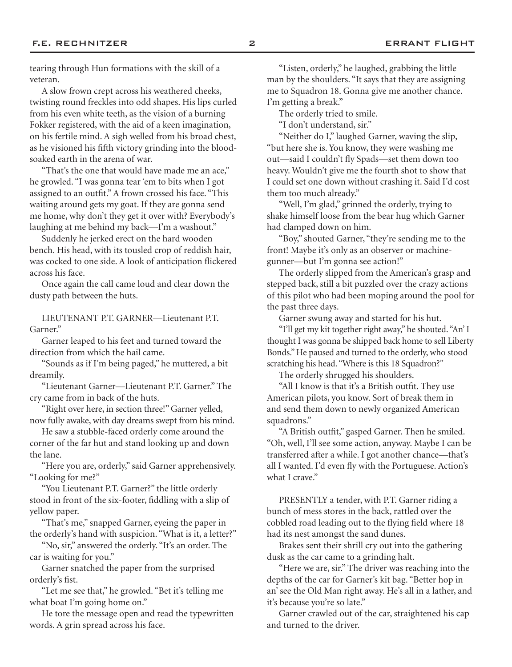tearing through Hun formations with the skill of a veteran.

A slow frown crept across his weathered cheeks, twisting round freckles into odd shapes. His lips curled from his even white teeth, as the vision of a burning Fokker registered, with the aid of a keen imagination, on his fertile mind. A sigh welled from his broad chest, as he visioned his fifth victory grinding into the bloodsoaked earth in the arena of war.

"That's the one that would have made me an ace," he growled. "I was gonna tear 'em to bits when I got assigned to an outfit." A frown crossed his face. "This waiting around gets my goat. If they are gonna send me home, why don't they get it over with? Everybody's laughing at me behind my back—I'm a washout."

Suddenly he jerked erect on the hard wooden bench. His head, with its tousled crop of reddish hair, was cocked to one side. A look of anticipation flickered across his face.

Once again the call came loud and clear down the dusty path between the huts.

LIEUTENANT P.T. GARNER—Lieutenant P.T. Garner."

Garner leaped to his feet and turned toward the direction from which the hail came.

"Sounds as if I'm being paged," he muttered, a bit dreamily.

"Lieutenant Garner—Lieutenant P.T. Garner." The cry came from in back of the huts.

"Right over here, in section three!" Garner yelled, now fully awake, with day dreams swept from his mind.

He saw a stubble-faced orderly come around the corner of the far hut and stand looking up and down the lane.

"Here you are, orderly," said Garner apprehensively. "Looking for me?"

"You Lieutenant P.T. Garner?" the little orderly stood in front of the six-footer, fiddling with a slip of yellow paper.

"That's me," snapped Garner, eyeing the paper in the orderly's hand with suspicion. "What is it, a letter?"

"No, sir," answered the orderly. "It's an order. The car is waiting for you."

Garner snatched the paper from the surprised orderly's fist.

"Let me see that," he growled. "Bet it's telling me what boat I'm going home on."

He tore the message open and read the typewritten words. A grin spread across his face.

"Listen, orderly," he laughed, grabbing the little man by the shoulders. "It says that they are assigning me to Squadron 18. Gonna give me another chance. I'm getting a break."

The orderly tried to smile.

"I don't understand, sir."

"Neither do I," laughed Garner, waving the slip, "but here she is. You know, they were washing me out—said I couldn't fly Spads—set them down too heavy. Wouldn't give me the fourth shot to show that I could set one down without crashing it. Said I'd cost them too much already."

"Well, I'm glad," grinned the orderly, trying to shake himself loose from the bear hug which Garner had clamped down on him.

"Boy," shouted Garner, "they're sending me to the front! Maybe it's only as an observer or machinegunner—but I'm gonna see action!"

The orderly slipped from the American's grasp and stepped back, still a bit puzzled over the crazy actions of this pilot who had been moping around the pool for the past three days.

Garner swung away and started for his hut.

"I'll get my kit together right away," he shouted. "An' I thought I was gonna be shipped back home to sell Liberty Bonds." He paused and turned to the orderly, who stood scratching his head. "Where is this 18 Squadron?"

The orderly shrugged his shoulders.

"All I know is that it's a British outfit. They use American pilots, you know. Sort of break them in and send them down to newly organized American squadrons."

"A British outfit," gasped Garner. Then he smiled. "Oh, well, I'll see some action, anyway. Maybe I can be transferred after a while. I got another chance—that's all I wanted. I'd even fly with the Portuguese. Action's what I crave."

PRESENTLY a tender, with P.T. Garner riding a bunch of mess stores in the back, rattled over the cobbled road leading out to the flying field where 18 had its nest amongst the sand dunes.

Brakes sent their shrill cry out into the gathering dusk as the car came to a grinding halt.

"Here we are, sir." The driver was reaching into the depths of the car for Garner's kit bag. "Better hop in an' see the Old Man right away. He's all in a lather, and it's because you're so late."

Garner crawled out of the car, straightened his cap and turned to the driver.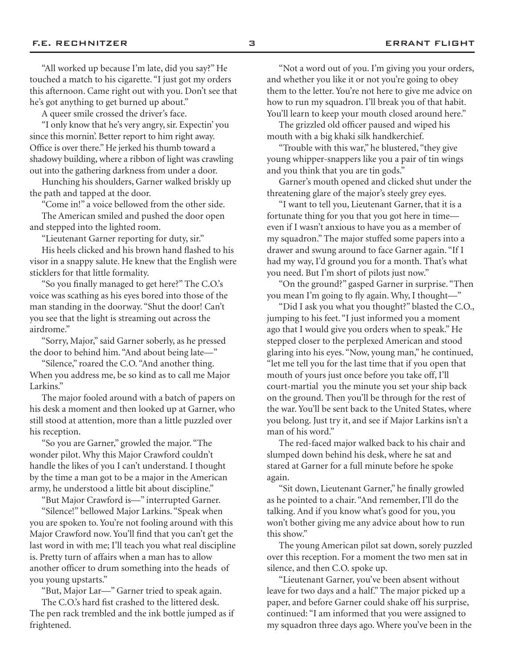"All worked up because I'm late, did you say?" He touched a match to his cigarette. "I just got my orders this afternoon. Came right out with you. Don't see that he's got anything to get burned up about."

A queer smile crossed the driver's face.

"I only know that he's very angry, sir. Expectin' you since this mornin'. Better report to him right away. Office is over there." He jerked his thumb toward a shadowy building, where a ribbon of light was crawling out into the gathering darkness from under a door.

Hunching his shoulders, Garner walked briskly up the path and tapped at the door.

"Come in!" a voice bellowed from the other side. The American smiled and pushed the door open

and stepped into the lighted room.

"Lieutenant Garner reporting for duty, sir."

His heels clicked and his brown hand flashed to his visor in a snappy salute. He knew that the English were sticklers for that little formality.

"So you finally managed to get here?" The C.O.'s voice was scathing as his eyes bored into those of the man standing in the doorway. "Shut the door! Can't you see that the light is streaming out across the airdrome."

"Sorry, Major," said Garner soberly, as he pressed the door to behind him. "And about being late—"

"Silence," roared the C.O. "And another thing. When you address me, be so kind as to call me Major Larkins."

The major fooled around with a batch of papers on his desk a moment and then looked up at Garner, who still stood at attention, more than a little puzzled over his reception.

"So you are Garner," growled the major. "The wonder pilot. Why this Major Crawford couldn't handle the likes of you I can't understand. I thought by the time a man got to be a major in the American army, he understood a little bit about discipline."

"But Major Crawford is—" interrupted Garner.

"Silence!" bellowed Major Larkins. "Speak when you are spoken to. You're not fooling around with this Major Crawford now. You'll find that you can't get the last word in with me; I'll teach you what real discipline is. Pretty turn of affairs when a man has to allow another officer to drum something into the heads of you young upstarts."

"But, Major Lar—" Garner tried to speak again.

The C.O.'s hard fist crashed to the littered desk. The pen rack trembled and the ink bottle jumped as if frightened.

"Not a word out of you. I'm giving you your orders, and whether you like it or not you're going to obey them to the letter. You're not here to give me advice on how to run my squadron. I'll break you of that habit. You'll learn to keep your mouth closed around here."

The grizzled old officer paused and wiped his mouth with a big khaki silk handkerchief.

"Trouble with this war," he blustered, "they give young whipper-snappers like you a pair of tin wings and you think that you are tin gods."

Garner's mouth opened and clicked shut under the threatening glare of the major's steely grey eyes.

"I want to tell you, Lieutenant Garner, that it is a fortunate thing for you that you got here in time even if I wasn't anxious to have you as a member of my squadron." The major stuffed some papers into a drawer and swung around to face Garner again. "If I had my way, I'd ground you for a month. That's what you need. But I'm short of pilots just now."

"On the ground?" gasped Garner in surprise. "Then you mean I'm going to fly again. Why, I thought—"

"Did I ask you what you thought?" blasted the C.O., jumping to his feet. "I just informed you a moment ago that I would give you orders when to speak." He stepped closer to the perplexed American and stood glaring into his eyes. "Now, young man," he continued, "let me tell you for the last time that if you open that mouth of yours just once before you take off, I'll court-martial you the minute you set your ship back on the ground. Then you'll be through for the rest of the war. You'll be sent back to the United States, where you belong. Just try it, and see if Major Larkins isn't a man of his word."

The red-faced major walked back to his chair and slumped down behind his desk, where he sat and stared at Garner for a full minute before he spoke again.

"Sit down, Lieutenant Garner," he finally growled as he pointed to a chair. "And remember, I'll do the talking. And if you know what's good for you, you won't bother giving me any advice about how to run this show."

The young American pilot sat down, sorely puzzled over this reception. For a moment the two men sat in silence, and then C.O. spoke up.

"Lieutenant Garner, you've been absent without leave for two days and a half." The major picked up a paper, and before Garner could shake off his surprise, continued: "I am informed that you were assigned to my squadron three days ago. Where you've been in the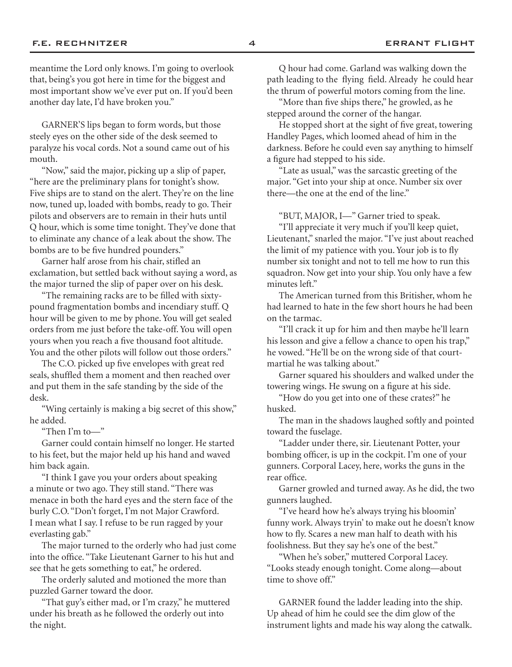meantime the Lord only knows. I'm going to overlook that, being's you got here in time for the biggest and most important show we've ever put on. If you'd been another day late, I'd have broken you."

GARNER'S lips began to form words, but those steely eyes on the other side of the desk seemed to paralyze his vocal cords. Not a sound came out of his mouth.

"Now," said the major, picking up a slip of paper, "here are the preliminary plans for tonight's show. Five ships are to stand on the alert. They're on the line now, tuned up, loaded with bombs, ready to go. Their pilots and observers are to remain in their huts until Q hour, which is some time tonight. They've done that to eliminate any chance of a leak about the show. The bombs are to be five hundred pounders."

Garner half arose from his chair, stifled an exclamation, but settled back without saying a word, as the major turned the slip of paper over on his desk.

"The remaining racks are to be filled with sixtypound fragmentation bombs and incendiary stuff. Q hour will be given to me by phone. You will get sealed orders from me just before the take-off. You will open yours when you reach a five thousand foot altitude. You and the other pilots will follow out those orders."

The C.O. picked up five envelopes with great red seals, shuffled them a moment and then reached over and put them in the safe standing by the side of the desk.

"Wing certainly is making a big secret of this show," he added.

"Then I'm to—"

Garner could contain himself no longer. He started to his feet, but the major held up his hand and waved him back again.

"I think I gave you your orders about speaking a minute or two ago. They still stand. "There was menace in both the hard eyes and the stern face of the burly C.O. "Don't forget, I'm not Major Crawford. I mean what I say. I refuse to be run ragged by your everlasting gab."

The major turned to the orderly who had just come into the office. "Take Lieutenant Garner to his hut and see that he gets something to eat," he ordered.

The orderly saluted and motioned the more than puzzled Garner toward the door.

"That guy's either mad, or I'm crazy," he muttered under his breath as he followed the orderly out into the night.

Q hour had come. Garland was walking down the path leading to the flying field. Already he could hear the thrum of powerful motors coming from the line.

"More than five ships there," he growled, as he stepped around the corner of the hangar.

He stopped short at the sight of five great, towering Handley Pages, which loomed ahead of him in the darkness. Before he could even say anything to himself a figure had stepped to his side.

"Late as usual," was the sarcastic greeting of the major. "Get into your ship at once. Number six over there—the one at the end of the line."

"BUT, MAJOR, I—" Garner tried to speak.

"I'll appreciate it very much if you'll keep quiet, Lieutenant," snarled the major. "I've just about reached the limit of my patience with you. Your job is to fly number six tonight and not to tell me how to run this squadron. Now get into your ship. You only have a few minutes left."

The American turned from this Britisher, whom he had learned to hate in the few short hours he had been on the tarmac.

"I'll crack it up for him and then maybe he'll learn his lesson and give a fellow a chance to open his trap," he vowed. "He'll be on the wrong side of that courtmartial he was talking about."

Garner squared his shoulders and walked under the towering wings. He swung on a figure at his side.

"How do you get into one of these crates?" he husked.

The man in the shadows laughed softly and pointed toward the fuselage.

"Ladder under there, sir. Lieutenant Potter, your bombing officer, is up in the cockpit. I'm one of your gunners. Corporal Lacey, here, works the guns in the rear office.

Garner growled and turned away. As he did, the two gunners laughed.

"I've heard how he's always trying his bloomin' funny work. Always tryin' to make out he doesn't know how to fly. Scares a new man half to death with his foolishness. But they say he's one of the best."

"When he's sober," muttered Corporal Lacey. "Looks steady enough tonight. Come along—about time to shove off."

GARNER found the ladder leading into the ship. Up ahead of him he could see the dim glow of the instrument lights and made his way along the catwalk.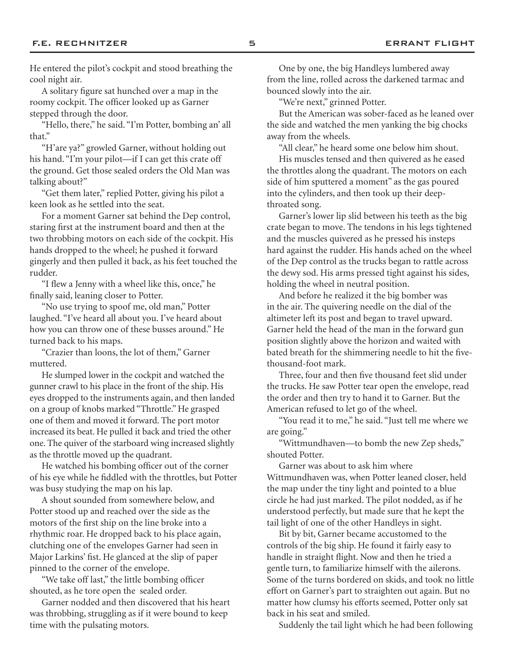He entered the pilot's cockpit and stood breathing the cool night air.

A solitary figure sat hunched over a map in the roomy cockpit. The officer looked up as Garner stepped through the door.

"Hello, there," he said. "I'm Potter, bombing an' all that."

"H'are ya?" growled Garner, without holding out his hand. "I'm your pilot—if I can get this crate off the ground. Get those sealed orders the Old Man was talking about?"

"Get them later," replied Potter, giving his pilot a keen look as he settled into the seat.

For a moment Garner sat behind the Dep control, staring first at the instrument board and then at the two throbbing motors on each side of the cockpit. His hands dropped to the wheel; he pushed it forward gingerly and then pulled it back, as his feet touched the rudder.

"I flew a Jenny with a wheel like this, once," he finally said, leaning closer to Potter.

"No use trying to spoof me, old man," Potter laughed. "I've heard all about you. I've heard about how you can throw one of these busses around." He turned back to his maps.

"Crazier than loons, the lot of them," Garner muttered.

He slumped lower in the cockpit and watched the gunner crawl to his place in the front of the ship. His eyes dropped to the instruments again, and then landed on a group of knobs marked "Throttle." He grasped one of them and moved it forward. The port motor increased its beat. He pulled it back and tried the other one. The quiver of the starboard wing increased slightly as the throttle moved up the quadrant.

He watched his bombing officer out of the corner of his eye while he fiddled with the throttles, but Potter was busy studying the map on his lap.

A shout sounded from somewhere below, and Potter stood up and reached over the side as the motors of the first ship on the line broke into a rhythmic roar. He dropped back to his place again, clutching one of the envelopes Garner had seen in Major Larkins' fist. He glanced at the slip of paper pinned to the corner of the envelope.

"We take off last," the little bombing officer shouted, as he tore open the sealed order.

Garner nodded and then discovered that his heart was throbbing, struggling as if it were bound to keep time with the pulsating motors.

One by one, the big Handleys lumbered away from the line, rolled across the darkened tarmac and bounced slowly into the air.

"We're next," grinned Potter.

But the American was sober-faced as he leaned over the side and watched the men yanking the big chocks away from the wheels.

"All clear," he heard some one below him shout.

His muscles tensed and then quivered as he eased the throttles along the quadrant. The motors on each side of him sputtered a moment" as the gas poured into the cylinders, and then took up their deepthroated song.

Garner's lower lip slid between his teeth as the big crate began to move. The tendons in his legs tightened and the muscles quivered as he pressed his insteps hard against the rudder. His hands ached on the wheel of the Dep control as the trucks began to rattle across the dewy sod. His arms pressed tight against his sides, holding the wheel in neutral position.

And before he realized it the big bomber was in the air. The quivering needle on the dial of the altimeter left its post and began to travel upward. Garner held the head of the man in the forward gun position slightly above the horizon and waited with bated breath for the shimmering needle to hit the fivethousand-foot mark.

Three, four and then five thousand feet slid under the trucks. He saw Potter tear open the envelope, read the order and then try to hand it to Garner. But the American refused to let go of the wheel.

"You read it to me," he said. "Just tell me where we are going."

"Wittmundhaven—to bomb the new Zep sheds," shouted Potter.

Garner was about to ask him where Wittmundhaven was, when Potter leaned closer, held the map under the tiny light and pointed to a blue circle he had just marked. The pilot nodded, as if he understood perfectly, but made sure that he kept the tail light of one of the other Handleys in sight.

Bit by bit, Garner became accustomed to the controls of the big ship. He found it fairly easy to handle in straight flight. Now and then he tried a gentle turn, to familiarize himself with the ailerons. Some of the turns bordered on skids, and took no little effort on Garner's part to straighten out again. But no matter how clumsy his efforts seemed, Potter only sat back in his seat and smiled.

Suddenly the tail light which he had been following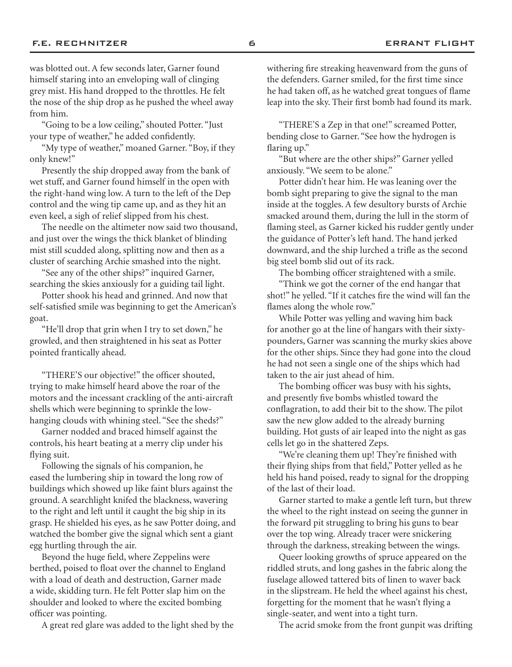was blotted out. A few seconds later, Garner found himself staring into an enveloping wall of clinging grey mist. His hand dropped to the throttles. He felt the nose of the ship drop as he pushed the wheel away from him.

"Going to be a low ceiling," shouted Potter. "Just your type of weather," he added confidently.

"My type of weather," moaned Garner. "Boy, if they only knew!"

Presently the ship dropped away from the bank of wet stuff, and Garner found himself in the open with the right-hand wing low. A turn to the left of the Dep control and the wing tip came up, and as they hit an even keel, a sigh of relief slipped from his chest.

The needle on the altimeter now said two thousand, and just over the wings the thick blanket of blinding mist still scudded along, splitting now and then as a cluster of searching Archie smashed into the night.

"See any of the other ships?" inquired Garner, searching the skies anxiously for a guiding tail light.

Potter shook his head and grinned. And now that self-satisfied smile was beginning to get the American's goat.

"He'll drop that grin when I try to set down," he growled, and then straightened in his seat as Potter pointed frantically ahead.

"THERE'S our objective!" the officer shouted, trying to make himself heard above the roar of the motors and the incessant crackling of the anti-aircraft shells which were beginning to sprinkle the lowhanging clouds with whining steel. "See the sheds?"

Garner nodded and braced himself against the controls, his heart beating at a merry clip under his flying suit.

Following the signals of his companion, he eased the lumbering ship in toward the long row of buildings which showed up like faint blurs against the ground. A searchlight knifed the blackness, wavering to the right and left until it caught the big ship in its grasp. He shielded his eyes, as he saw Potter doing, and watched the bomber give the signal which sent a giant egg hurtling through the air.

Beyond the huge field, where Zeppelins were berthed, poised to float over the channel to England with a load of death and destruction, Garner made a wide, skidding turn. He felt Potter slap him on the shoulder and looked to where the excited bombing officer was pointing.

A great red glare was added to the light shed by the

withering fire streaking heavenward from the guns of the defenders. Garner smiled, for the first time since he had taken off, as he watched great tongues of flame leap into the sky. Their first bomb had found its mark.

"THERE'S a Zep in that one!" screamed Potter, bending close to Garner. "See how the hydrogen is flaring up."

"But where are the other ships?" Garner yelled anxiously. "We seem to be alone."

Potter didn't hear him. He was leaning over the bomb sight preparing to give the signal to the man inside at the toggles. A few desultory bursts of Archie smacked around them, during the lull in the storm of flaming steel, as Garner kicked his rudder gently under the guidance of Potter's left hand. The hand jerked downward, and the ship lurched a trifle as the second big steel bomb slid out of its rack.

The bombing officer straightened with a smile.

"Think we got the corner of the end hangar that shot!" he yelled. "If it catches fire the wind will fan the flames along the whole row."

While Potter was yelling and waving him back for another go at the line of hangars with their sixtypounders, Garner was scanning the murky skies above for the other ships. Since they had gone into the cloud he had not seen a single one of the ships which had taken to the air just ahead of him.

The bombing officer was busy with his sights, and presently five bombs whistled toward the conflagration, to add their bit to the show. The pilot saw the new glow added to the already burning building. Hot gusts of air leaped into the night as gas cells let go in the shattered Zeps.

"We're cleaning them up! They're finished with their flying ships from that field," Potter yelled as he held his hand poised, ready to signal for the dropping of the last of their load.

Garner started to make a gentle left turn, but threw the wheel to the right instead on seeing the gunner in the forward pit struggling to bring his guns to bear over the top wing. Already tracer were snickering through the darkness, streaking between the wings.

Queer looking growths of spruce appeared on the riddled struts, and long gashes in the fabric along the fuselage allowed tattered bits of linen to waver back in the slipstream. He held the wheel against his chest, forgetting for the moment that he wasn't flying a single-seater, and went into a tight turn.

The acrid smoke from the front gunpit was drifting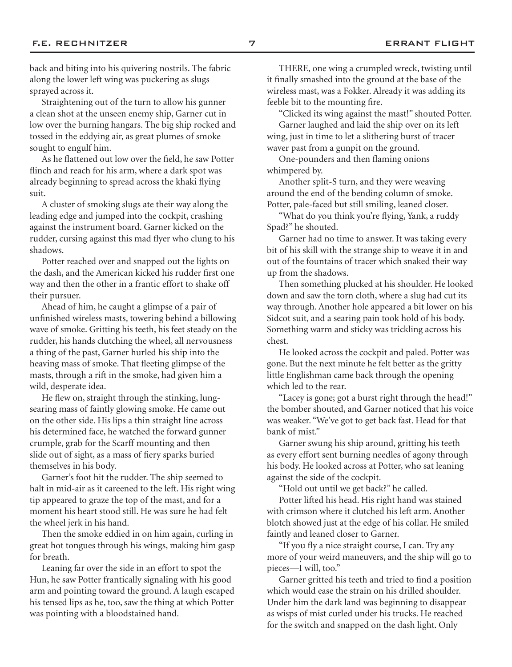back and biting into his quivering nostrils. The fabric along the lower left wing was puckering as slugs sprayed across it.

Straightening out of the turn to allow his gunner a clean shot at the unseen enemy ship, Garner cut in low over the burning hangars. The big ship rocked and tossed in the eddying air, as great plumes of smoke sought to engulf him.

As he flattened out low over the field, he saw Potter flinch and reach for his arm, where a dark spot was already beginning to spread across the khaki flying suit.

A cluster of smoking slugs ate their way along the leading edge and jumped into the cockpit, crashing against the instrument board. Garner kicked on the rudder, cursing against this mad flyer who clung to his shadows.

Potter reached over and snapped out the lights on the dash, and the American kicked his rudder first one way and then the other in a frantic effort to shake off their pursuer.

Ahead of him, he caught a glimpse of a pair of unfinished wireless masts, towering behind a billowing wave of smoke. Gritting his teeth, his feet steady on the rudder, his hands clutching the wheel, all nervousness a thing of the past, Garner hurled his ship into the heaving mass of smoke. That fleeting glimpse of the masts, through a rift in the smoke, had given him a wild, desperate idea.

He flew on, straight through the stinking, lungsearing mass of faintly glowing smoke. He came out on the other side. His lips a thin straight line across his determined face, he watched the forward gunner crumple, grab for the Scarff mounting and then slide out of sight, as a mass of fiery sparks buried themselves in his body.

Garner's foot hit the rudder. The ship seemed to halt in mid-air as it careened to the left. His right wing tip appeared to graze the top of the mast, and for a moment his heart stood still. He was sure he had felt the wheel jerk in his hand.

Then the smoke eddied in on him again, curling in great hot tongues through his wings, making him gasp for breath.

Leaning far over the side in an effort to spot the Hun, he saw Potter frantically signaling with his good arm and pointing toward the ground. A laugh escaped his tensed lips as he, too, saw the thing at which Potter was pointing with a bloodstained hand.

THERE, one wing a crumpled wreck, twisting until it finally smashed into the ground at the base of the wireless mast, was a Fokker. Already it was adding its feeble bit to the mounting fire.

"Clicked its wing against the mast!" shouted Potter.

Garner laughed and laid the ship over on its left wing, just in time to let a slithering burst of tracer waver past from a gunpit on the ground.

One-pounders and then flaming onions whimpered by.

Another split-S turn, and they were weaving around the end of the bending column of smoke. Potter, pale-faced but still smiling, leaned closer.

"What do you think you're flying, Yank, a ruddy Spad?" he shouted.

Garner had no time to answer. It was taking every bit of his skill with the strange ship to weave it in and out of the fountains of tracer which snaked their way up from the shadows.

Then something plucked at his shoulder. He looked down and saw the torn cloth, where a slug had cut its way through. Another hole appeared a bit lower on his Sidcot suit, and a searing pain took hold of his body. Something warm and sticky was trickling across his chest.

He looked across the cockpit and paled. Potter was gone. But the next minute he felt better as the gritty little Englishman came back through the opening which led to the rear.

"Lacey is gone; got a burst right through the head!" the bomber shouted, and Garner noticed that his voice was weaker. "We've got to get back fast. Head for that bank of mist."

Garner swung his ship around, gritting his teeth as every effort sent burning needles of agony through his body. He looked across at Potter, who sat leaning against the side of the cockpit.

"Hold out until we get back?" he called.

Potter lifted his head. His right hand was stained with crimson where it clutched his left arm. Another blotch showed just at the edge of his collar. He smiled faintly and leaned closer to Garner.

"If you fly a nice straight course, I can. Try any more of your weird maneuvers, and the ship will go to pieces—I will, too."

Garner gritted his teeth and tried to find a position which would ease the strain on his drilled shoulder. Under him the dark land was beginning to disappear as wisps of mist curled under his trucks. He reached for the switch and snapped on the dash light. Only